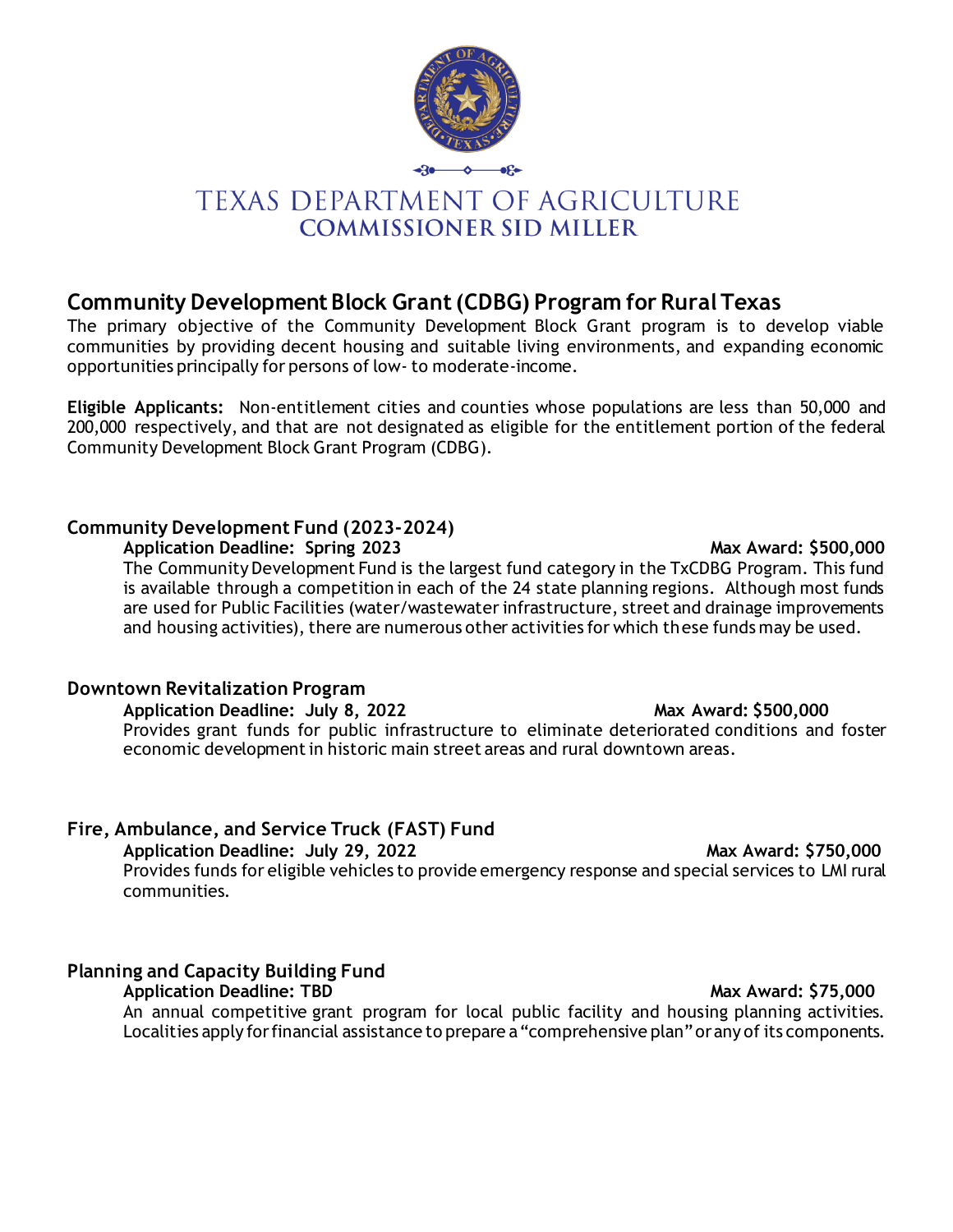

# **TEXAS DEPARTMENT OF AGRICULTURE COMMISSIONER SID MILLER**

# **Community Development Block Grant (CDBG) Program for Rural Texas**

The primary objective of the Community Development Block Grant program is to develop viable communities by providing decent housing and suitable living environments, and expanding economic opportunities principally for persons of low- to moderate-income.

**Eligible Applicants:** Non-entitlement cities and counties whose populations are less than 50,000 and 200,000 respectively, and that are not designated as eligible for the entitlement portion of the federal Community Development Block Grant Program (CDBG).

### **Community Development Fund (2023-2024)**

### Application Deadline: Spring 2023 and the state of the Max Award: \$500,000

The Community Development Fund is the largest fund category in the TxCDBG Program. This fund is available through a competition in each of the 24 state planning regions. Although most funds are used for Public Facilities (water/wastewater infrastructure, street and drainage improvements and housing activities), there are numerous other activities for which these funds may be used.

### **Downtown Revitalization Program**

Application Deadline: July 8, 2022 Max Award: \$500,000 Provides grant funds for public infrastructure to eliminate deteriorated conditions and foster economic development in historic main street areas and rural downtown areas.

## **Fire, Ambulance, and Service Truck (FAST) Fund**

**Application Deadline: July 29, 2022 Max Award: \$750,000**

Provides funds for eligible vehicles to provide emergency response and special services to LMI rural communities.

## **Planning and Capacity Building Fund**

**Application Deadline: TBD Max Award: \$75,000** An annual competitive grant program for local public facility and housing planning activities. Localities apply for financial assistance to prepare a "comprehensive plan" or any of its components.